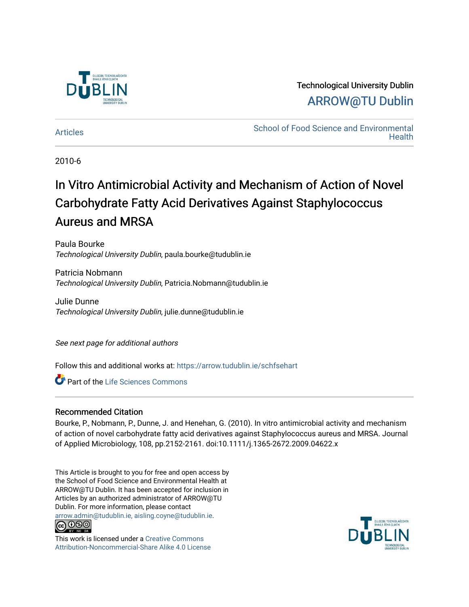

## Technological University Dublin [ARROW@TU Dublin](https://arrow.tudublin.ie/)

[Articles](https://arrow.tudublin.ie/schfsehart) **School of Food Science and Environmental Health** 

2010-6

# In Vitro Antimicrobial Activity and Mechanism of Action of Novel Carbohydrate Fatty Acid Derivatives Against Staphylococcus Aureus and MRSA

Paula Bourke Technological University Dublin, paula.bourke@tudublin.ie

Patricia Nobmann Technological University Dublin, Patricia.Nobmann@tudublin.ie

Julie Dunne Technological University Dublin, julie.dunne@tudublin.ie

See next page for additional authors

Follow this and additional works at: [https://arrow.tudublin.ie/schfsehart](https://arrow.tudublin.ie/schfsehart?utm_source=arrow.tudublin.ie%2Fschfsehart%2F128&utm_medium=PDF&utm_campaign=PDFCoverPages) 

Part of the [Life Sciences Commons](http://network.bepress.com/hgg/discipline/1016?utm_source=arrow.tudublin.ie%2Fschfsehart%2F128&utm_medium=PDF&utm_campaign=PDFCoverPages) 

#### Recommended Citation

Bourke, P., Nobmann, P., Dunne, J. and Henehan, G. (2010). In vitro antimicrobial activity and mechanism of action of novel carbohydrate fatty acid derivatives against Staphylococcus aureus and MRSA. Journal of Applied Microbiology, 108, pp.2152-2161. doi:10.1111/j.1365-2672.2009.04622.x

This Article is brought to you for free and open access by the School of Food Science and Environmental Health at ARROW@TU Dublin. It has been accepted for inclusion in Articles by an authorized administrator of ARROW@TU Dublin. For more information, please contact [arrow.admin@tudublin.ie, aisling.coyne@tudublin.ie](mailto:arrow.admin@tudublin.ie,%20aisling.coyne@tudublin.ie).



This work is licensed under a [Creative Commons](http://creativecommons.org/licenses/by-nc-sa/4.0/) [Attribution-Noncommercial-Share Alike 4.0 License](http://creativecommons.org/licenses/by-nc-sa/4.0/)

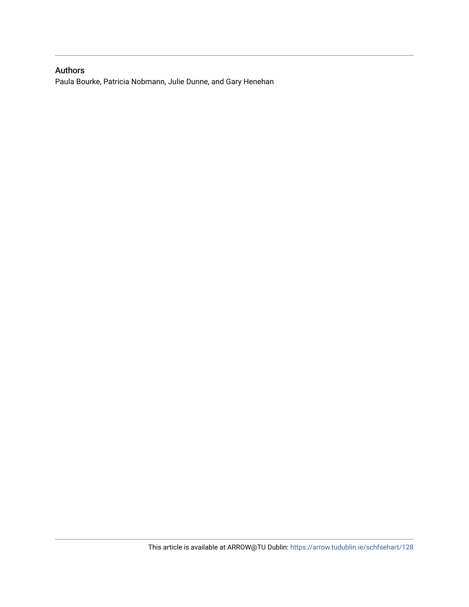### Authors

Paula Bourke, Patricia Nobmann, Julie Dunne, and Gary Henehan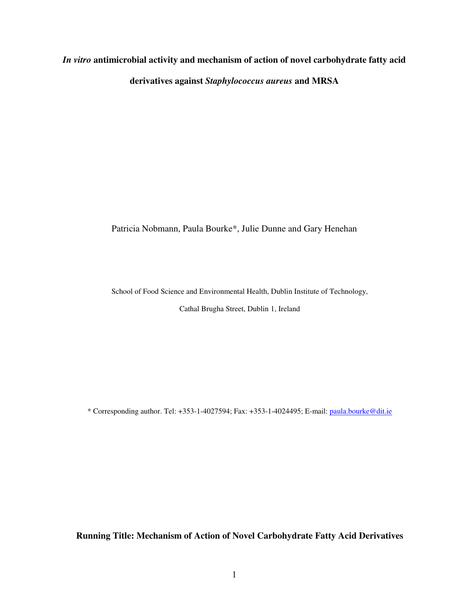# *In vitro* **antimicrobial activity and mechanism of action of novel carbohydrate fatty acid derivatives against** *Staphylococcus aureus* **and MRSA**

Patricia Nobmann, Paula Bourke\*, Julie Dunne and Gary Henehan

School of Food Science and Environmental Health, Dublin Institute of Technology,

Cathal Brugha Street, Dublin 1, Ireland

\* Corresponding author. Tel: +353-1-4027594; Fax: +353-1-4024495; E-mail: paula.bourke@dit.ie

**Running Title: Mechanism of Action of Novel Carbohydrate Fatty Acid Derivatives**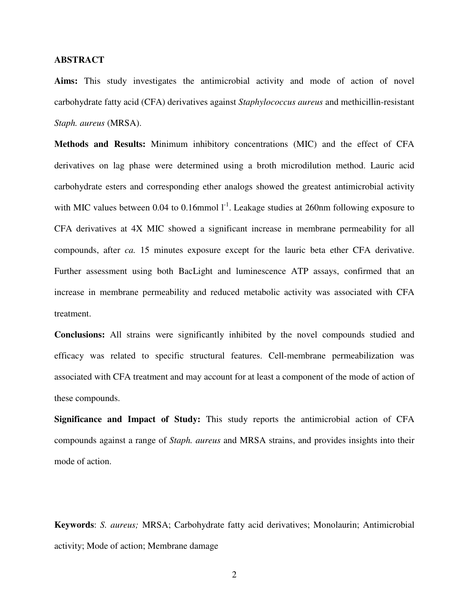#### **ABSTRACT**

**Aims:** This study investigates the antimicrobial activity and mode of action of novel carbohydrate fatty acid (CFA) derivatives against *Staphylococcus aureus* and methicillin-resistant *Staph. aureus* (MRSA).

**Methods and Results:** Minimum inhibitory concentrations (MIC) and the effect of CFA derivatives on lag phase were determined using a broth microdilution method. Lauric acid carbohydrate esters and corresponding ether analogs showed the greatest antimicrobial activity with MIC values between 0.04 to 0.16mmol  $I<sup>-1</sup>$ . Leakage studies at 260nm following exposure to CFA derivatives at 4X MIC showed a significant increase in membrane permeability for all compounds, after *ca.* 15 minutes exposure except for the lauric beta ether CFA derivative. Further assessment using both BacLight and luminescence ATP assays, confirmed that an increase in membrane permeability and reduced metabolic activity was associated with CFA treatment.

**Conclusions:** All strains were significantly inhibited by the novel compounds studied and efficacy was related to specific structural features. Cell-membrane permeabilization was associated with CFA treatment and may account for at least a component of the mode of action of these compounds.

**Significance and Impact of Study:** This study reports the antimicrobial action of CFA compounds against a range of *Staph. aureus* and MRSA strains, and provides insights into their mode of action.

**Keywords**: *S. aureus;* MRSA; Carbohydrate fatty acid derivatives; Monolaurin; Antimicrobial activity; Mode of action; Membrane damage

2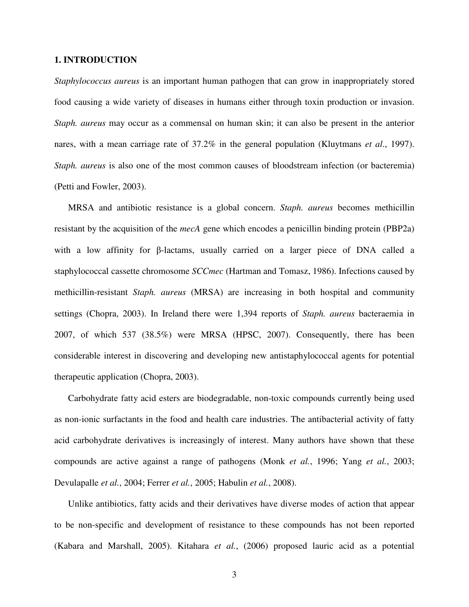#### **1. INTRODUCTION**

*Staphylococcus aureus* is an important human pathogen that can grow in inappropriately stored food causing a wide variety of diseases in humans either through toxin production or invasion. *Staph. aureus* may occur as a commensal on human skin; it can also be present in the anterior nares, with a mean carriage rate of 37.2% in the general population (Kluytmans *et al*., 1997). *Staph. aureus* is also one of the most common causes of bloodstream infection (or bacteremia) (Petti and Fowler, 2003).

MRSA and antibiotic resistance is a global concern. *Staph. aureus* becomes methicillin resistant by the acquisition of the *mecA* gene which encodes a penicillin binding protein (PBP2a) with a low affinity for β-lactams, usually carried on a larger piece of DNA called a staphylococcal cassette chromosome *SCCmec* (Hartman and Tomasz, 1986). Infections caused by methicillin-resistant *Staph. aureus* (MRSA) are increasing in both hospital and community settings (Chopra, 2003). In Ireland there were 1,394 reports of *Staph. aureus* bacteraemia in 2007, of which 537 (38.5%) were MRSA (HPSC, 2007). Consequently, there has been considerable interest in discovering and developing new antistaphylococcal agents for potential therapeutic application (Chopra, 2003).

Carbohydrate fatty acid esters are biodegradable, non-toxic compounds currently being used as non-ionic surfactants in the food and health care industries. The antibacterial activity of fatty acid carbohydrate derivatives is increasingly of interest. Many authors have shown that these compounds are active against a range of pathogens (Monk *et al.*, 1996; Yang *et al.*, 2003; Devulapalle *et al.*, 2004; Ferrer *et al.*, 2005; Habulin *et al.*, 2008).

Unlike antibiotics, fatty acids and their derivatives have diverse modes of action that appear to be non-specific and development of resistance to these compounds has not been reported (Kabara and Marshall, 2005). Kitahara *et al.*, (2006) proposed lauric acid as a potential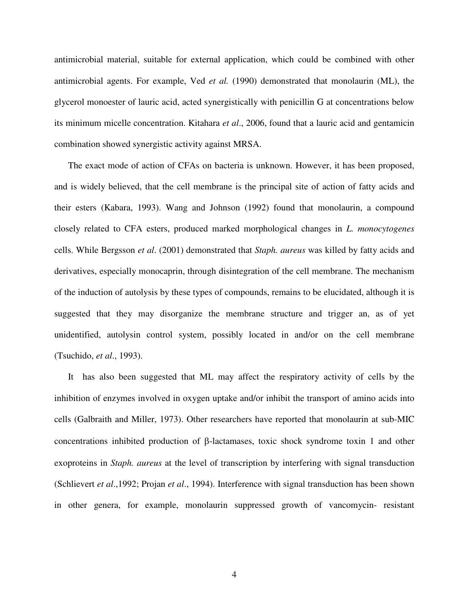antimicrobial material, suitable for external application, which could be combined with other antimicrobial agents. For example, Ved *et al.* (1990) demonstrated that monolaurin (ML), the glycerol monoester of lauric acid, acted synergistically with penicillin G at concentrations below its minimum micelle concentration. Kitahara *et al*., 2006, found that a lauric acid and gentamicin combination showed synergistic activity against MRSA.

The exact mode of action of CFAs on bacteria is unknown. However, it has been proposed, and is widely believed, that the cell membrane is the principal site of action of fatty acids and their esters (Kabara, 1993). Wang and Johnson (1992) found that monolaurin, a compound closely related to CFA esters, produced marked morphological changes in *L. monocytogenes* cells. While Bergsson *et al*. (2001) demonstrated that *Staph. aureus* was killed by fatty acids and derivatives, especially monocaprin, through disintegration of the cell membrane. The mechanism of the induction of autolysis by these types of compounds, remains to be elucidated, although it is suggested that they may disorganize the membrane structure and trigger an, as of yet unidentified, autolysin control system, possibly located in and/or on the cell membrane (Tsuchido, *et al*., 1993).

It has also been suggested that ML may affect the respiratory activity of cells by the inhibition of enzymes involved in oxygen uptake and/or inhibit the transport of amino acids into cells (Galbraith and Miller, 1973). Other researchers have reported that monolaurin at sub-MIC concentrations inhibited production of β-lactamases, toxic shock syndrome toxin 1 and other exoproteins in *Staph. aureus* at the level of transcription by interfering with signal transduction (Schlievert *et al*.,1992; Projan *et al*., 1994). Interference with signal transduction has been shown in other genera, for example, monolaurin suppressed growth of vancomycin- resistant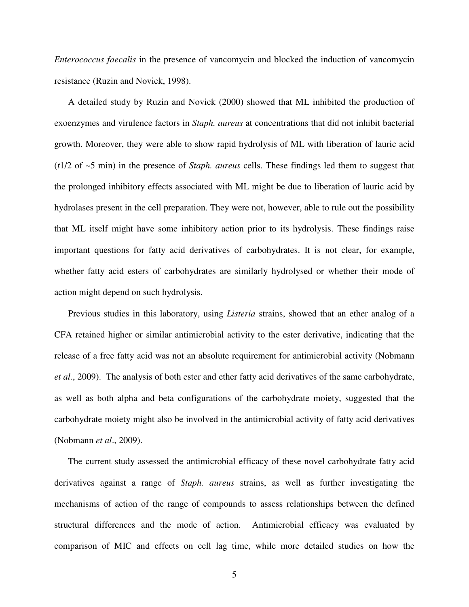*Enterococcus faecalis* in the presence of vancomycin and blocked the induction of vancomycin resistance (Ruzin and Novick, 1998).

A detailed study by Ruzin and Novick (2000) showed that ML inhibited the production of exoenzymes and virulence factors in *Staph. aureus* at concentrations that did not inhibit bacterial growth. Moreover, they were able to show rapid hydrolysis of ML with liberation of lauric acid (*t*1/2 of ~5 min) in the presence of *Staph. aureus* cells. These findings led them to suggest that the prolonged inhibitory effects associated with ML might be due to liberation of lauric acid by hydrolases present in the cell preparation. They were not, however, able to rule out the possibility that ML itself might have some inhibitory action prior to its hydrolysis. These findings raise important questions for fatty acid derivatives of carbohydrates. It is not clear, for example, whether fatty acid esters of carbohydrates are similarly hydrolysed or whether their mode of action might depend on such hydrolysis.

Previous studies in this laboratory, using *Listeria* strains, showed that an ether analog of a CFA retained higher or similar antimicrobial activity to the ester derivative, indicating that the release of a free fatty acid was not an absolute requirement for antimicrobial activity (Nobmann *et al.*, 2009). The analysis of both ester and ether fatty acid derivatives of the same carbohydrate, as well as both alpha and beta configurations of the carbohydrate moiety, suggested that the carbohydrate moiety might also be involved in the antimicrobial activity of fatty acid derivatives (Nobmann *et al*., 2009).

The current study assessed the antimicrobial efficacy of these novel carbohydrate fatty acid derivatives against a range of *Staph. aureus* strains, as well as further investigating the mechanisms of action of the range of compounds to assess relationships between the defined structural differences and the mode of action. Antimicrobial efficacy was evaluated by comparison of MIC and effects on cell lag time, while more detailed studies on how the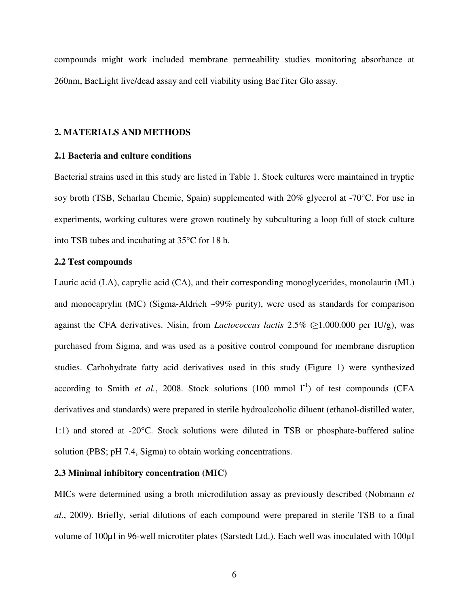compounds might work included membrane permeability studies monitoring absorbance at 260nm, BacLight live/dead assay and cell viability using BacTiter Glo assay.

#### **2. MATERIALS AND METHODS**

#### **2.1 Bacteria and culture conditions**

Bacterial strains used in this study are listed in Table 1. Stock cultures were maintained in tryptic soy broth (TSB, Scharlau Chemie, Spain) supplemented with 20% glycerol at -70°C. For use in experiments, working cultures were grown routinely by subculturing a loop full of stock culture into TSB tubes and incubating at 35°C for 18 h.

#### **2.2 Test compounds**

Lauric acid (LA), caprylic acid (CA), and their corresponding monoglycerides, monolaurin (ML) and monocaprylin (MC) (Sigma-Aldrich ~99% purity), were used as standards for comparison against the CFA derivatives. Nisin, from *Lactococcus lactis* 2.5% (≥1.000.000 per IU/g), was purchased from Sigma, and was used as a positive control compound for membrane disruption studies. Carbohydrate fatty acid derivatives used in this study (Figure 1) were synthesized according to Smith *et al.*, 2008. Stock solutions  $(100 \text{ mmol } l^{-1})$  of test compounds (CFA derivatives and standards) were prepared in sterile hydroalcoholic diluent (ethanol-distilled water, 1:1) and stored at -20°C. Stock solutions were diluted in TSB or phosphate-buffered saline solution (PBS; pH 7.4, Sigma) to obtain working concentrations.

#### **2.3 Minimal inhibitory concentration (MIC)**

MICs were determined using a broth microdilution assay as previously described (Nobmann *et al.*, 2009). Briefly, serial dilutions of each compound were prepared in sterile TSB to a final volume of 100µl in 96-well microtiter plates (Sarstedt Ltd.). Each well was inoculated with 100µl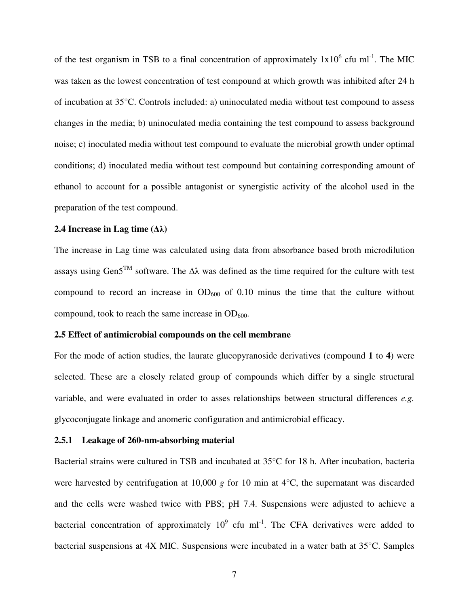of the test organism in TSB to a final concentration of approximately  $1x10^6$  cfu ml<sup>-1</sup>. The MIC was taken as the lowest concentration of test compound at which growth was inhibited after 24 h of incubation at 35°C. Controls included: a) uninoculated media without test compound to assess changes in the media; b) uninoculated media containing the test compound to assess background noise; c) inoculated media without test compound to evaluate the microbial growth under optimal conditions; d) inoculated media without test compound but containing corresponding amount of ethanol to account for a possible antagonist or synergistic activity of the alcohol used in the preparation of the test compound.

#### **2.4 Increase in Lag time (**∆λ**)**

The increase in Lag time was calculated using data from absorbance based broth microdilution assays using Gen5<sup>TM</sup> software. The  $\Delta\lambda$  was defined as the time required for the culture with test compound to record an increase in  $OD_{600}$  of 0.10 minus the time that the culture without compound, took to reach the same increase in  $OD_{600}$ .

#### **2.5 Effect of antimicrobial compounds on the cell membrane**

For the mode of action studies, the laurate glucopyranoside derivatives (compound **1** to **4**) were selected. These are a closely related group of compounds which differ by a single structural variable, and were evaluated in order to asses relationships between structural differences *e.g.* glycoconjugate linkage and anomeric configuration and antimicrobial efficacy.

#### **2.5.1 Leakage of 260-nm-absorbing material**

Bacterial strains were cultured in TSB and incubated at 35°C for 18 h. After incubation, bacteria were harvested by centrifugation at 10,000 *g* for 10 min at 4<sup>o</sup>C, the supernatant was discarded and the cells were washed twice with PBS; pH 7.4. Suspensions were adjusted to achieve a bacterial concentration of approximately  $10^9$  cfu ml<sup>-1</sup>. The CFA derivatives were added to bacterial suspensions at 4X MIC. Suspensions were incubated in a water bath at 35°C. Samples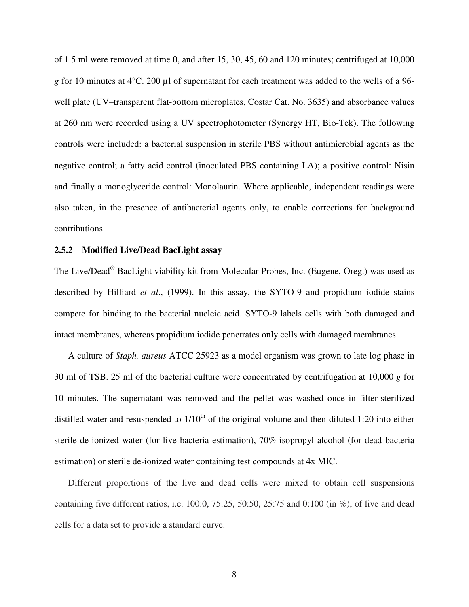of 1.5 ml were removed at time 0, and after 15, 30, 45, 60 and 120 minutes; centrifuged at 10,000 *g* for 10 minutes at 4°C. 200 µl of supernatant for each treatment was added to the wells of a 96 well plate (UV–transparent flat-bottom microplates, Costar Cat. No. 3635) and absorbance values at 260 nm were recorded using a UV spectrophotometer (Synergy HT, Bio-Tek). The following controls were included: a bacterial suspension in sterile PBS without antimicrobial agents as the negative control; a fatty acid control (inoculated PBS containing LA); a positive control: Nisin and finally a monoglyceride control: Monolaurin. Where applicable, independent readings were also taken, in the presence of antibacterial agents only, to enable corrections for background contributions.

#### **2.5.2 Modified Live/Dead BacLight assay**

The Live/Dead® BacLight viability kit from Molecular Probes, Inc. (Eugene, Oreg.) was used as described by Hilliard *et al*., (1999). In this assay, the SYTO-9 and propidium iodide stains compete for binding to the bacterial nucleic acid. SYTO-9 labels cells with both damaged and intact membranes, whereas propidium iodide penetrates only cells with damaged membranes.

A culture of *Staph. aureus* ATCC 25923 as a model organism was grown to late log phase in 30 ml of TSB. 25 ml of the bacterial culture were concentrated by centrifugation at 10,000 *g* for 10 minutes. The supernatant was removed and the pellet was washed once in filter-sterilized distilled water and resuspended to  $1/10<sup>th</sup>$  of the original volume and then diluted 1:20 into either sterile de-ionized water (for live bacteria estimation), 70% isopropyl alcohol (for dead bacteria estimation) or sterile de-ionized water containing test compounds at 4x MIC.

Different proportions of the live and dead cells were mixed to obtain cell suspensions containing five different ratios, i.e.  $100:0$ ,  $75:25$ ,  $50:50$ ,  $25:75$  and  $0:100$  (in %), of live and dead cells for a data set to provide a standard curve.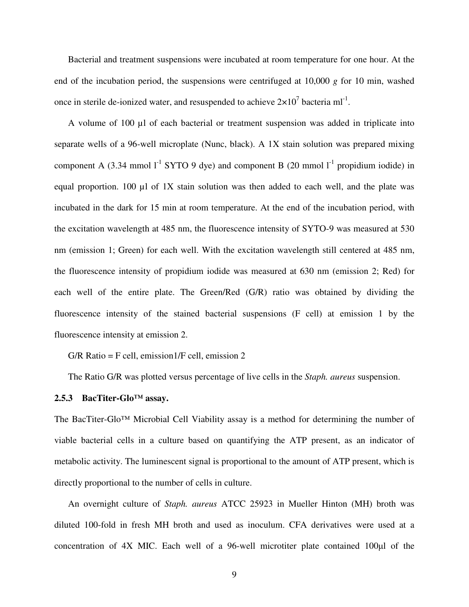Bacterial and treatment suspensions were incubated at room temperature for one hour. At the end of the incubation period, the suspensions were centrifuged at 10,000 *g* for 10 min, washed once in sterile de-ionized water, and resuspended to achieve  $2 \times 10^7$  bacteria ml<sup>-1</sup>.

A volume of 100 µl of each bacterial or treatment suspension was added in triplicate into separate wells of a 96-well microplate (Nunc, black). A 1X stain solution was prepared mixing component A (3.34 mmol  $1^1$  SYTO 9 dye) and component B (20 mmol  $1^1$  propidium iodide) in equal proportion. 100  $\mu$ l of 1X stain solution was then added to each well, and the plate was incubated in the dark for 15 min at room temperature. At the end of the incubation period, with the excitation wavelength at 485 nm, the fluorescence intensity of SYTO-9 was measured at 530 nm (emission 1; Green) for each well. With the excitation wavelength still centered at 485 nm, the fluorescence intensity of propidium iodide was measured at 630 nm (emission 2; Red) for each well of the entire plate. The Green/Red (G/R) ratio was obtained by dividing the fluorescence intensity of the stained bacterial suspensions (F cell) at emission 1 by the fluorescence intensity at emission 2.

 $G/R$  Ratio = F cell, emission  $1/F$  cell, emission 2

The Ratio G/R was plotted versus percentage of live cells in the *Staph. aureus* suspension.

#### **2.5.3 BacTiter-Glo™ assay.**

The BacTiter-Glo™ Microbial Cell Viability assay is a method for determining the number of viable bacterial cells in a culture based on quantifying the ATP present, as an indicator of metabolic activity. The luminescent signal is proportional to the amount of ATP present, which is directly proportional to the number of cells in culture.

An overnight culture of *Staph. aureus* ATCC 25923 in Mueller Hinton (MH) broth was diluted 100-fold in fresh MH broth and used as inoculum. CFA derivatives were used at a concentration of 4X MIC. Each well of a 96-well microtiter plate contained 100µl of the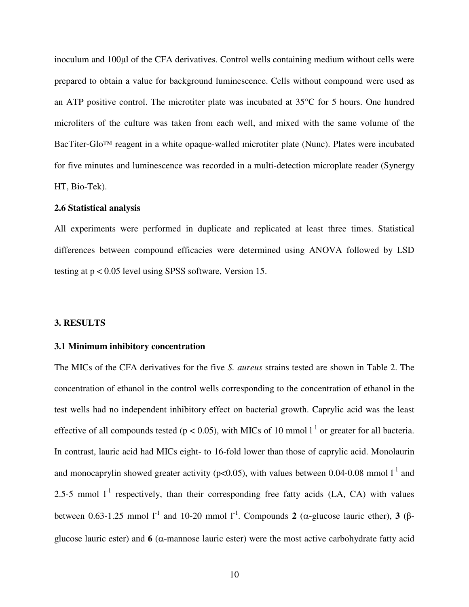inoculum and 100µl of the CFA derivatives. Control wells containing medium without cells were prepared to obtain a value for background luminescence. Cells without compound were used as an ATP positive control. The microtiter plate was incubated at 35°C for 5 hours. One hundred microliters of the culture was taken from each well, and mixed with the same volume of the BacTiter-Glo™ reagent in a white opaque-walled microtiter plate (Nunc). Plates were incubated for five minutes and luminescence was recorded in a multi-detection microplate reader (Synergy HT, Bio-Tek).

#### **2.6 Statistical analysis**

All experiments were performed in duplicate and replicated at least three times. Statistical differences between compound efficacies were determined using ANOVA followed by LSD testing at p < 0.05 level using SPSS software, Version 15.

#### **3. RESULTS**

#### **3.1 Minimum inhibitory concentration**

The MICs of the CFA derivatives for the five *S. aureus* strains tested are shown in Table 2. The concentration of ethanol in the control wells corresponding to the concentration of ethanol in the test wells had no independent inhibitory effect on bacterial growth. Caprylic acid was the least effective of all compounds tested ( $p < 0.05$ ), with MICs of 10 mmol  $1^{-1}$  or greater for all bacteria. In contrast, lauric acid had MICs eight- to 16-fold lower than those of caprylic acid. Monolaurin and monocaprylin showed greater activity ( $p<0.05$ ), with values between 0.04-0.08 mmol  $1<sup>-1</sup>$  and 2.5-5 mmol  $I<sup>-1</sup>$  respectively, than their corresponding free fatty acids (LA, CA) with values between 0.63-1.25 mmol l<sup>-1</sup> and 10-20 mmol l<sup>-1</sup>. Compounds **2** (α-glucose lauric ether), **3** (βglucose lauric ester) and  $\bf{6}$  ( $\alpha$ -mannose lauric ester) were the most active carbohydrate fatty acid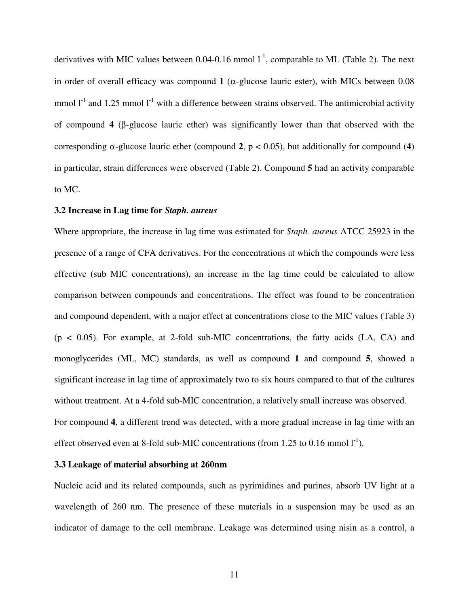derivatives with MIC values between 0.04-0.16 mmol  $I<sup>-1</sup>$ , comparable to ML (Table 2). The next in order of overall efficacy was compound **1** ( $\alpha$ -glucose lauric ester), with MICs between 0.08 mmol  $I<sup>-1</sup>$  and 1.25 mmol  $I<sup>-1</sup>$  with a difference between strains observed. The antimicrobial activity of compound **4** (β-glucose lauric ether) was significantly lower than that observed with the corresponding  $\alpha$ -glucose lauric ether (compound 2,  $p < 0.05$ ), but additionally for compound (4) in particular, strain differences were observed (Table 2). Compound **5** had an activity comparable to MC.

#### **3.2 Increase in Lag time for** *Staph. aureus*

Where appropriate, the increase in lag time was estimated for *Staph. aureus* ATCC 25923 in the presence of a range of CFA derivatives. For the concentrations at which the compounds were less effective (sub MIC concentrations), an increase in the lag time could be calculated to allow comparison between compounds and concentrations. The effect was found to be concentration and compound dependent, with a major effect at concentrations close to the MIC values (Table 3)  $(p < 0.05)$ . For example, at 2-fold sub-MIC concentrations, the fatty acids  $(LA, CA)$  and monoglycerides (ML, MC) standards, as well as compound **1** and compound **5**, showed a significant increase in lag time of approximately two to six hours compared to that of the cultures without treatment. At a 4-fold sub-MIC concentration, a relatively small increase was observed. For compound **4**, a different trend was detected, with a more gradual increase in lag time with an effect observed even at 8-fold sub-MIC concentrations (from 1.25 to 0.16 mmol  $1^{-1}$ ).

#### **3.3 Leakage of material absorbing at 260nm**

Nucleic acid and its related compounds, such as pyrimidines and purines, absorb UV light at a wavelength of 260 nm. The presence of these materials in a suspension may be used as an indicator of damage to the cell membrane. Leakage was determined using nisin as a control, a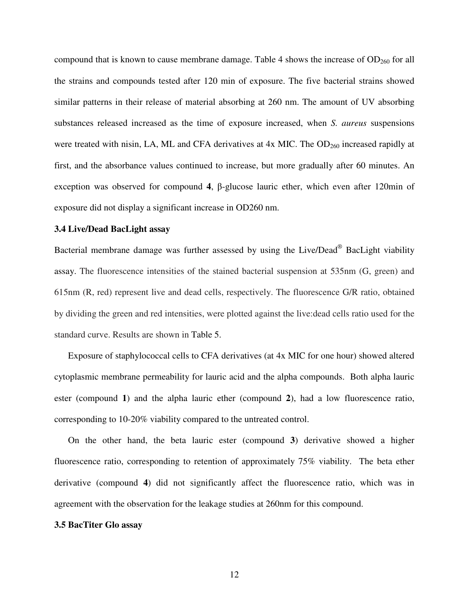compound that is known to cause membrane damage. Table 4 shows the increase of  $OD<sub>260</sub>$  for all the strains and compounds tested after 120 min of exposure. The five bacterial strains showed similar patterns in their release of material absorbing at 260 nm. The amount of UV absorbing substances released increased as the time of exposure increased, when *S. aureus* suspensions were treated with nisin, LA, ML and CFA derivatives at 4x MIC. The OD<sub>260</sub> increased rapidly at first, and the absorbance values continued to increase, but more gradually after 60 minutes. An exception was observed for compound **4**, β-glucose lauric ether, which even after 120min of exposure did not display a significant increase in OD260 nm.

#### **3.4 Live/Dead BacLight assay**

Bacterial membrane damage was further assessed by using the Live/Dead® BacLight viability assay. The fluorescence intensities of the stained bacterial suspension at 535nm (G, green) and 615nm (R, red) represent live and dead cells, respectively. The fluorescence G/R ratio, obtained by dividing the green and red intensities, were plotted against the live:dead cells ratio used for the standard curve. Results are shown in Table 5.

Exposure of staphylococcal cells to CFA derivatives (at 4x MIC for one hour) showed altered cytoplasmic membrane permeability for lauric acid and the alpha compounds. Both alpha lauric ester (compound **1**) and the alpha lauric ether (compound **2**), had a low fluorescence ratio, corresponding to 10-20% viability compared to the untreated control.

On the other hand, the beta lauric ester (compound **3**) derivative showed a higher fluorescence ratio, corresponding to retention of approximately 75% viability. The beta ether derivative (compound **4**) did not significantly affect the fluorescence ratio, which was in agreement with the observation for the leakage studies at 260nm for this compound.

#### **3.5 BacTiter Glo assay**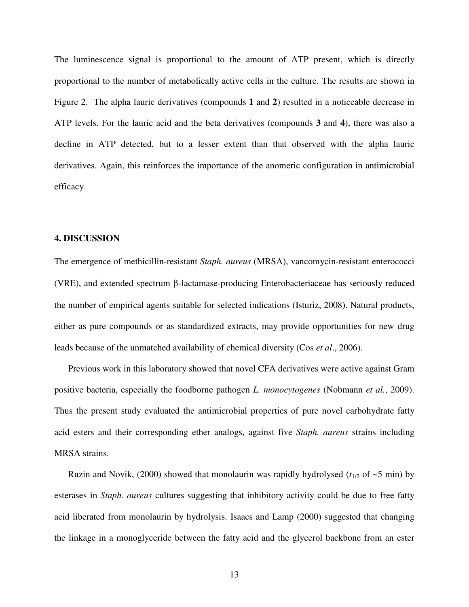The luminescence signal is proportional to the amount of ATP present, which is directly proportional to the number of metabolically active cells in the culture. The results are shown in Figure 2. The alpha lauric derivatives (compounds **1** and **2**) resulted in a noticeable decrease in ATP levels. For the lauric acid and the beta derivatives (compounds **3** and **4**), there was also a decline in ATP detected, but to a lesser extent than that observed with the alpha lauric derivatives. Again, this reinforces the importance of the anomeric configuration in antimicrobial efficacy.

#### **4. DISCUSSION**

The emergence of methicillin-resistant *Staph. aureus* (MRSA), vancomycin-resistant enterococci (VRE), and extended spectrum β-lactamase-producing Enterobacteriaceae has seriously reduced the number of empirical agents suitable for selected indications (Isturiz, 2008). Natural products, either as pure compounds or as standardized extracts, may provide opportunities for new drug leads because of the unmatched availability of chemical diversity (Cos *et al*., 2006).

Previous work in this laboratory showed that novel CFA derivatives were active against Gram positive bacteria, especially the foodborne pathogen *L. monocytogenes* (Nobmann *et al.*, 2009). Thus the present study evaluated the antimicrobial properties of pure novel carbohydrate fatty acid esters and their corresponding ether analogs, against five *Staph. aureus* strains including MRSA strains.

Ruzin and Novik, (2000) showed that monolaurin was rapidly hydrolysed ( $t_{1/2}$  of  $\sim$ 5 min) by esterases in *Staph. aureus* cultures suggesting that inhibitory activity could be due to free fatty acid liberated from monolaurin by hydrolysis. Isaacs and Lamp (2000) suggested that changing the linkage in a monoglyceride between the fatty acid and the glycerol backbone from an ester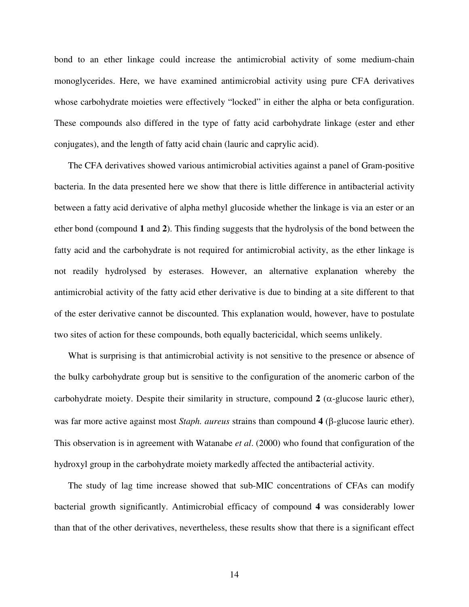bond to an ether linkage could increase the antimicrobial activity of some medium-chain monoglycerides. Here, we have examined antimicrobial activity using pure CFA derivatives whose carbohydrate moieties were effectively "locked" in either the alpha or beta configuration. These compounds also differed in the type of fatty acid carbohydrate linkage (ester and ether conjugates), and the length of fatty acid chain (lauric and caprylic acid).

The CFA derivatives showed various antimicrobial activities against a panel of Gram-positive bacteria. In the data presented here we show that there is little difference in antibacterial activity between a fatty acid derivative of alpha methyl glucoside whether the linkage is via an ester or an ether bond (compound **1** and **2**). This finding suggests that the hydrolysis of the bond between the fatty acid and the carbohydrate is not required for antimicrobial activity, as the ether linkage is not readily hydrolysed by esterases. However, an alternative explanation whereby the antimicrobial activity of the fatty acid ether derivative is due to binding at a site different to that of the ester derivative cannot be discounted. This explanation would, however, have to postulate two sites of action for these compounds, both equally bactericidal, which seems unlikely.

What is surprising is that antimicrobial activity is not sensitive to the presence or absence of the bulky carbohydrate group but is sensitive to the configuration of the anomeric carbon of the carbohydrate moiety. Despite their similarity in structure, compound  $2$  ( $\alpha$ -glucose lauric ether), was far more active against most *Staph. aureus* strains than compound **4** (β-glucose lauric ether). This observation is in agreement with Watanabe *et al*. (2000) who found that configuration of the hydroxyl group in the carbohydrate moiety markedly affected the antibacterial activity.

The study of lag time increase showed that sub-MIC concentrations of CFAs can modify bacterial growth significantly. Antimicrobial efficacy of compound **4** was considerably lower than that of the other derivatives, nevertheless, these results show that there is a significant effect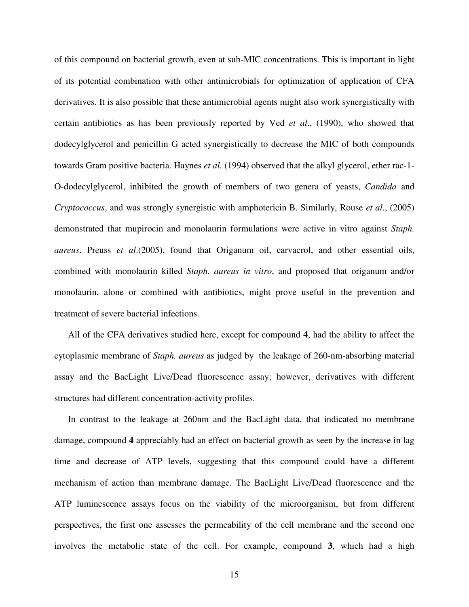of this compound on bacterial growth, even at sub-MIC concentrations. This is important in light of its potential combination with other antimicrobials for optimization of application of CFA derivatives. It is also possible that these antimicrobial agents might also work synergistically with certain antibiotics as has been previously reported by Ved *et al*., (1990), who showed that dodecylglycerol and penicillin G acted synergistically to decrease the MIC of both compounds towards Gram positive bacteria. Haynes *et al.* (1994) observed that the alkyl glycerol, ether rac-1- O-dodecylglycerol, inhibited the growth of members of two genera of yeasts, *Candida* and *Cryptococcus*, and was strongly synergistic with amphotericin B. Similarly, Rouse *et al*., (2005) demonstrated that mupirocin and monolaurin formulations were active in vitro against *Staph. aureus*. Preuss *et al*.(2005), found that Origanum oil, carvacrol, and other essential oils, combined with monolaurin killed *Staph. aureus in vitro*, and proposed that origanum and/or monolaurin, alone or combined with antibiotics, might prove useful in the prevention and treatment of severe bacterial infections.

All of the CFA derivatives studied here, except for compound **4**, had the ability to affect the cytoplasmic membrane of *Staph. aureus* as judged by the leakage of 260-nm-absorbing material assay and the BacLight Live/Dead fluorescence assay; however, derivatives with different structures had different concentration-activity profiles.

In contrast to the leakage at 260nm and the BacLight data, that indicated no membrane damage, compound **4** appreciably had an effect on bacterial growth as seen by the increase in lag time and decrease of ATP levels, suggesting that this compound could have a different mechanism of action than membrane damage. The BacLight Live/Dead fluorescence and the ATP luminescence assays focus on the viability of the microorganism, but from different perspectives, the first one assesses the permeability of the cell membrane and the second one involves the metabolic state of the cell. For example, compound **3**, which had a high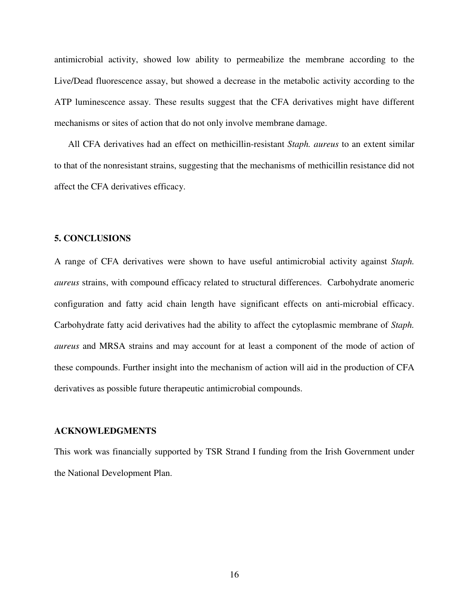antimicrobial activity, showed low ability to permeabilize the membrane according to the Live/Dead fluorescence assay, but showed a decrease in the metabolic activity according to the ATP luminescence assay. These results suggest that the CFA derivatives might have different mechanisms or sites of action that do not only involve membrane damage.

All CFA derivatives had an effect on methicillin-resistant *Staph. aureus* to an extent similar to that of the nonresistant strains, suggesting that the mechanisms of methicillin resistance did not affect the CFA derivatives efficacy.

#### **5. CONCLUSIONS**

A range of CFA derivatives were shown to have useful antimicrobial activity against *Staph. aureus* strains, with compound efficacy related to structural differences. Carbohydrate anomeric configuration and fatty acid chain length have significant effects on anti-microbial efficacy. Carbohydrate fatty acid derivatives had the ability to affect the cytoplasmic membrane of *Staph. aureus* and MRSA strains and may account for at least a component of the mode of action of these compounds. Further insight into the mechanism of action will aid in the production of CFA derivatives as possible future therapeutic antimicrobial compounds.

#### **ACKNOWLEDGMENTS**

This work was financially supported by TSR Strand I funding from the Irish Government under the National Development Plan.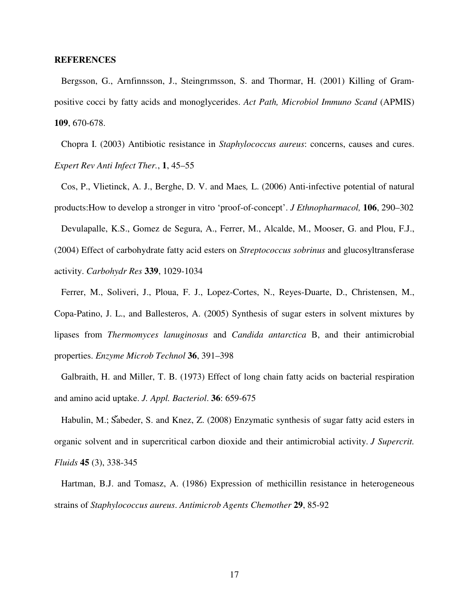#### **REFERENCES**

Bergsson, G., Arnfinnsson, J., Steingrımsson, S. and Thormar, H. (2001) Killing of Grampositive cocci by fatty acids and monoglycerides. *Act Path, Microbiol Immuno Scand* (APMIS) **109**, 670-678.

Chopra I. (2003) Antibiotic resistance in *Staphylococcus aureus*: concerns, causes and cures. *Expert Rev Anti Infect Ther.*, **1**, 45–55

Cos, P., Vlietinck, A. J., Berghe, D. V. and Maes*,* L. (2006) Anti-infective potential of natural products:How to develop a stronger in vitro 'proof-of-concept'. *J Ethnopharmacol,* **106**, 290–302

Devulapalle, K.S., Gomez de Segura, A., Ferrer, M., Alcalde, M., Mooser, G. and Plou, F.J., (2004) Effect of carbohydrate fatty acid esters on *Streptococcus sobrinus* and glucosyltransferase activity. *Carbohydr Res* **339**, 1029-1034

Ferrer, M., Soliveri, J., Ploua, F. J., Lopez-Cortes, N., Reyes-Duarte, D., Christensen, M., Copa-Patino, J. L., and Ballesteros, A. (2005) Synthesis of sugar esters in solvent mixtures by lipases from *Thermomyces lanuginosus* and *Candida antarctica* B, and their antimicrobial properties. *Enzyme Microb Technol* **36**, 391–398

Galbraith, H. and Miller, T. B. (1973) Effect of long chain fatty acids on bacterial respiration and amino acid uptake. *J. Appl. Bacteriol*. **36**: 659-675

Habulin, M.; Šabeder, S. and Knez, Z. (2008) Enzymatic synthesis of sugar fatty acid esters in organic solvent and in supercritical carbon dioxide and their antimicrobial activity. *J Supercrit. Fluids* **45** (3), 338-345

Hartman, B.J. and Tomasz, A. (1986) Expression of methicillin resistance in heterogeneous strains of *Staphylococcus aureus*. *Antimicrob Agents Chemother* **29**, 85-92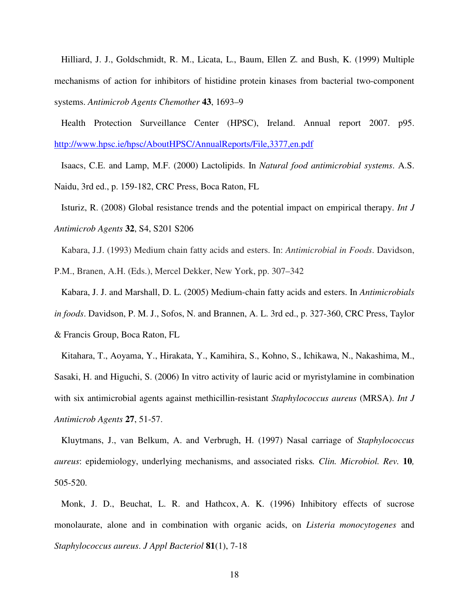Hilliard, J. J., Goldschmidt, R. M., Licata, L., Baum, Ellen Z. and Bush, K. (1999) Multiple mechanisms of action for inhibitors of histidine protein kinases from bacterial two-component systems. *Antimicrob Agents Chemother* **43**, 1693–9

Health Protection Surveillance Center (HPSC), Ireland. Annual report 2007. p95. http://www.hpsc.ie/hpsc/AboutHPSC/AnnualReports/File,3377,en.pdf

Isaacs, C.E. and Lamp, M.F. (2000) Lactolipids. In *Natural food antimicrobial systems*. A.S. Naidu, 3rd ed., p. 159-182, CRC Press, Boca Raton, FL

Isturiz, R. (2008) Global resistance trends and the potential impact on empirical therapy. *Int J Antimicrob Agents* **32**, S4, S201 S206

Kabara, J.J. (1993) Medium chain fatty acids and esters. In: *Antimicrobial in Foods*. Davidson, P.M., Branen, A.H. (Eds.), Mercel Dekker, New York, pp. 307–342

Kabara, J. J. and Marshall, D. L. (2005) Medium-chain fatty acids and esters. In *Antimicrobials in foods*. Davidson, P. M. J., Sofos, N. and Brannen, A. L. 3rd ed., p. 327-360, CRC Press, Taylor & Francis Group, Boca Raton, FL

Kitahara, T., Aoyama, Y., Hirakata, Y., Kamihira, S., Kohno, S., Ichikawa, N., Nakashima, M., Sasaki, H. and Higuchi, S. (2006) In vitro activity of lauric acid or myristylamine in combination with six antimicrobial agents against methicillin-resistant *Staphylococcus aureus* (MRSA). *Int J Antimicrob Agents* **27**, 51-57.

Kluytmans, J., van Belkum, A. and Verbrugh, H. (1997) Nasal carriage of *Staphylococcus aureus*: epidemiology, underlying mechanisms, and associated risks*. Clin. Microbiol. Rev.* **10***,*  505-520.

Monk, J. D., Beuchat, L. R. and Hathcox, A. K. (1996) Inhibitory effects of sucrose monolaurate, alone and in combination with organic acids, on *Listeria monocytogenes* and *Staphylococcus aureus*. *J Appl Bacteriol* **81**(1), 7-18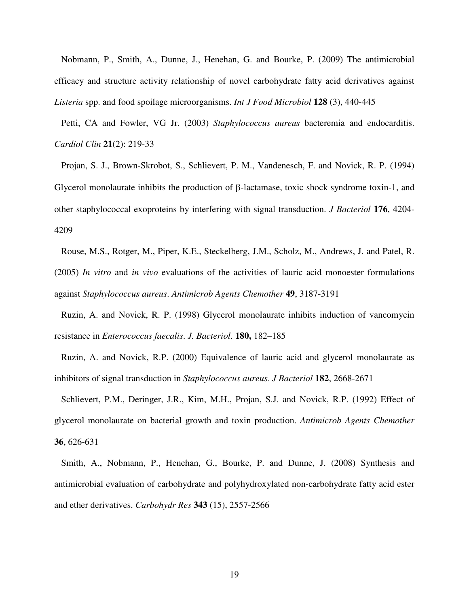Nobmann, P., Smith, A., Dunne, J., Henehan, G. and Bourke, P. (2009) The antimicrobial efficacy and structure activity relationship of novel carbohydrate fatty acid derivatives against *Listeria* spp. and food spoilage microorganisms. *Int J Food Microbiol* **128** (3), 440-445

Petti, CA and Fowler, VG Jr. (2003) *Staphylococcus aureus* bacteremia and endocarditis. *Cardiol Clin* **21**(2): 219-33

Projan, S. J., Brown-Skrobot, S., Schlievert, P. M., Vandenesch, F. and Novick, R. P. (1994) Glycerol monolaurate inhibits the production of β-lactamase, toxic shock syndrome toxin-1, and other staphylococcal exoproteins by interfering with signal transduction. *J Bacteriol* **176**, 4204- 4209

Rouse, M.S., Rotger, M., Piper, K.E., Steckelberg, J.M., Scholz, M., Andrews, J. and Patel, R. (2005) *In vitro* and *in vivo* evaluations of the activities of lauric acid monoester formulations against *Staphylococcus aureus*. *Antimicrob Agents Chemother* **49**, 3187-3191

Ruzin, A. and Novick, R. P. (1998) Glycerol monolaurate inhibits induction of vancomycin resistance in *Enterococcus faecalis*. *J. Bacteriol*. **180,** 182–185

Ruzin, A. and Novick, R.P. (2000) Equivalence of lauric acid and glycerol monolaurate as inhibitors of signal transduction in *Staphylococcus aureus*. *J Bacteriol* **182**, 2668-2671

Schlievert, P.M., Deringer, J.R., Kim, M.H., Projan, S.J. and Novick, R.P. (1992) Effect of glycerol monolaurate on bacterial growth and toxin production. *Antimicrob Agents Chemother* **36**, 626-631

Smith, A., Nobmann, P., Henehan, G., Bourke, P. and Dunne, J. (2008) Synthesis and antimicrobial evaluation of carbohydrate and polyhydroxylated non-carbohydrate fatty acid ester and ether derivatives. *Carbohydr Res* **343** (15), 2557-2566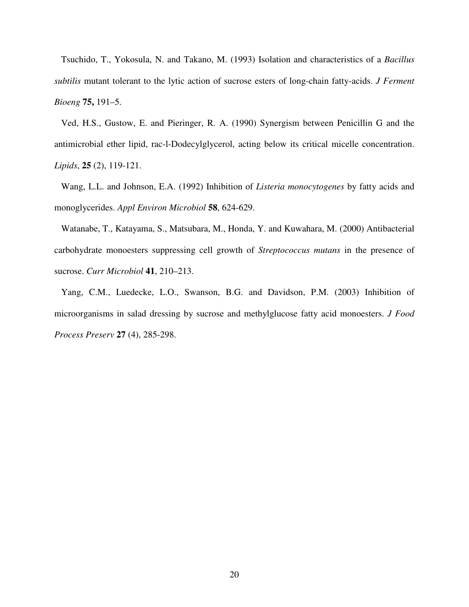Tsuchido, T., Yokosula, N. and Takano, M. (1993) Isolation and characteristics of a *Bacillus subtilis* mutant tolerant to the lytic action of sucrose esters of long-chain fatty-acids. *J Ferment Bioeng* **75,** 191–5.

Ved, H.S., Gustow, E. and Pieringer, R. A. (1990) Synergism between Penicillin G and the antimicrobial ether lipid, rac-l-Dodecylglycerol, acting below its critical micelle concentration. *Lipids*, **25** (2), 119-121.

Wang, L.L. and Johnson, E.A. (1992) Inhibition of *Listeria monocytogenes* by fatty acids and monoglycerides. *Appl Environ Microbiol* **58**, 624-629.

Watanabe, T., Katayama, S., Matsubara, M., Honda, Y. and Kuwahara, M. (2000) Antibacterial carbohydrate monoesters suppressing cell growth of *Streptococcus mutans* in the presence of sucrose. *Curr Microbiol* **41**, 210–213.

Yang, C.M., Luedecke, L.O., Swanson, B.G. and Davidson, P.M. (2003) Inhibition of microorganisms in salad dressing by sucrose and methylglucose fatty acid monoesters. *J Food Process Preserv* **27** (4), 285-298.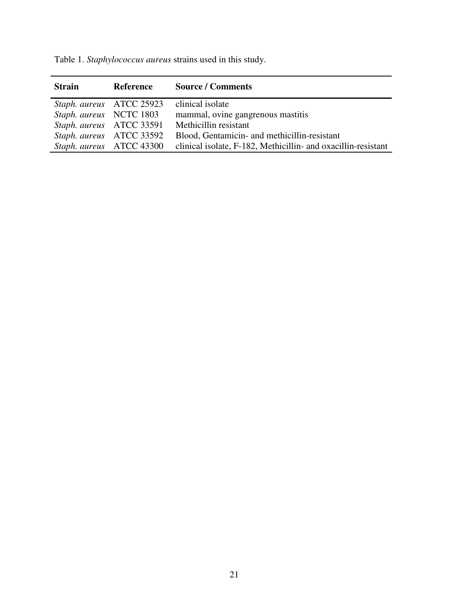| <b>Strain</b>            | <b>Reference</b>         | <b>Source / Comments</b>                                      |
|--------------------------|--------------------------|---------------------------------------------------------------|
|                          | Staph. aureus ATCC 25923 | clinical isolate                                              |
| Staph. aureus NCTC 1803  |                          | mammal, ovine gangrenous mastitis                             |
| Staph. aureus ATCC 33591 |                          | Methicillin resistant                                         |
|                          | Staph. aureus ATCC 33592 | Blood, Gentamicin- and methicillin-resistant                  |
|                          | Staph. aureus ATCC 43300 | clinical isolate, F-182, Methicillin- and oxacillin-resistant |

Table 1. *Staphylococcus aureus* strains used in this study.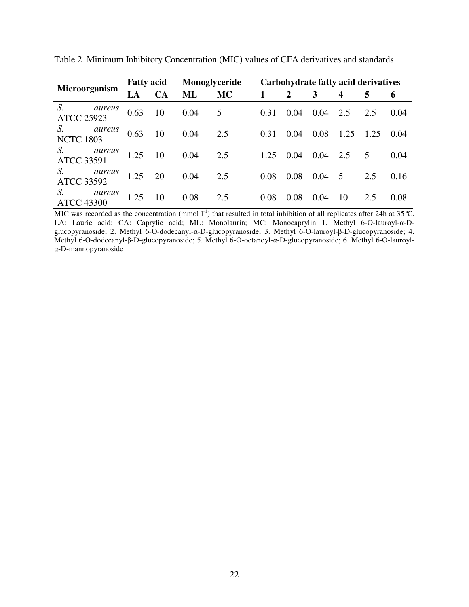|                                   | <b>Fatty acid</b> |           | Monoglyceride |           | <b>Carbohydrate fatty acid derivatives</b> |              |      |                  |      |        |
|-----------------------------------|-------------------|-----------|---------------|-----------|--------------------------------------------|--------------|------|------------------|------|--------|
| Microorganism                     | LA                | <b>CA</b> | <b>ML</b>     | <b>MC</b> |                                            | $\mathbf{2}$ | 3    | $\boldsymbol{4}$ | 5    | 6      |
| S.<br>aureus<br><b>ATCC 25923</b> | 0.63              | 10        | 0.04          | 5         | 0.31                                       | 0.04         | 0.04 | 2.5              | 2.5  | 0.04   |
| S.<br>aureus<br><b>NCTC 1803</b>  | 0.63              | 10        | 0.04          | 2.5       | 0.31                                       | 0.04         | 0.08 | 1.25             | 1.25 | (0.04) |
| S.<br>aureus<br><b>ATCC 33591</b> | 1.25              | 10        | 0.04          | 2.5       | 1.25                                       | 0.04         | 0.04 | 2.5              | 5    | 0.04   |
| S.<br>aureus<br><b>ATCC 33592</b> | 1.25              | 20        | 0.04          | 2.5       | 0.08                                       | 0.08         | 0.04 | 5                | 2.5  | 0.16   |
| S.<br>aureus<br><b>ATCC 43300</b> | 1.25              | 10        | 0.08          | 2.5       | 0.08                                       | 0.08         | 0.04 | 10               | 2.5  | 0.08   |

Table 2. Minimum Inhibitory Concentration (MIC) values of CFA derivatives and standards.

MIC was recorded as the concentration (mmol  $I^{-1}$ ) that resulted in total inhibition of all replicates after 24h at 35°C. LA: Lauric acid; CA: Caprylic acid; ML: Monolaurin; MC: Monocaprylin 1. Methyl 6-O-lauroyl-α-Dglucopyranoside; 2. Methyl 6-O-dodecanyl-α-D-glucopyranoside; 3. Methyl 6-O-lauroyl-β-D-glucopyranoside; 4. Methyl 6-O-dodecanyl-β-D-glucopyranoside; 5. Methyl 6-O-octanoyl-α-D-glucopyranoside; 6. Methyl 6-O-lauroylα-D-mannopyranoside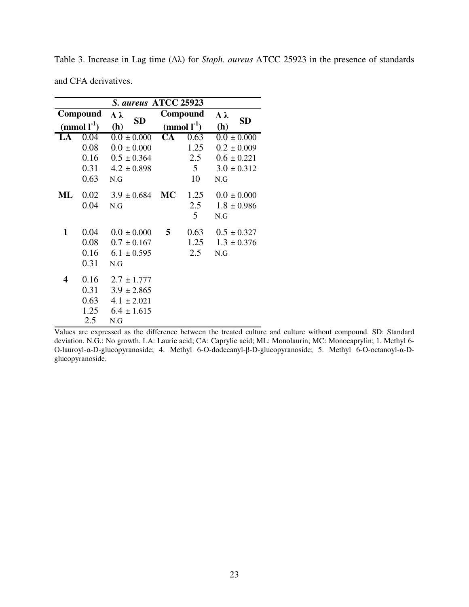| S. aureus ATCC 25923      |      |                            |                        |                           |                  |  |  |
|---------------------------|------|----------------------------|------------------------|---------------------------|------------------|--|--|
| Compound                  |      | $\Delta \lambda$           |                        | Compound                  | $\Delta \lambda$ |  |  |
| (mmol $\mathbf{I}^{-1}$ ) |      | <b>SD</b><br>(h)           |                        | (mmol $\mathbf{l}^{-1}$ ) | <b>SD</b><br>(h) |  |  |
| LA                        | 0.04 | $\overline{0.0} \pm 0.000$ | $\overline{\text{CA}}$ | 0.63                      | $0.0 \pm 0.000$  |  |  |
|                           | 0.08 | $0.0 \pm 0.000$            |                        | 1.25                      | $0.2 \pm 0.009$  |  |  |
|                           | 0.16 | $0.5 \pm 0.364$            |                        | 2.5                       | $0.6 \pm 0.221$  |  |  |
|                           | 0.31 | $4.2 \pm 0.898$            |                        | 5                         | $3.0 \pm 0.312$  |  |  |
|                           | 0.63 | N.G                        |                        | 10                        | N.G              |  |  |
| ML                        | 0.02 | $3.9 \pm 0.684$            | <b>MC</b>              | 1.25                      | $0.0 \pm 0.000$  |  |  |
|                           | 0.04 | N.G                        |                        | 2.5                       | $1.8 \pm 0.986$  |  |  |
|                           |      |                            |                        | 5                         | N.G              |  |  |
| 1                         | 0.04 | $0.0 \pm 0.000$            | 5                      | 0.63                      | $0.5 \pm 0.327$  |  |  |
|                           | 0.08 | $0.7 \pm 0.167$            |                        | 1.25                      | $1.3 \pm 0.376$  |  |  |
|                           | 0.16 | $6.1 \pm 0.595$            |                        | 2.5                       | N.G              |  |  |
|                           | 0.31 | N.G                        |                        |                           |                  |  |  |
| 4                         | 0.16 | $2.7 \pm 1.777$            |                        |                           |                  |  |  |
|                           | 0.31 | $3.9 \pm 2.865$            |                        |                           |                  |  |  |
|                           | 0.63 | $4.1 \pm 2.021$            |                        |                           |                  |  |  |
|                           | 1.25 | $6.4 \pm 1.615$            |                        |                           |                  |  |  |
|                           | 2.5  | N.G                        |                        |                           |                  |  |  |

Table 3. Increase in Lag time (∆λ) for *Staph. aureus* ATCC 25923 in the presence of standards and CFA derivatives.

Values are expressed as the difference between the treated culture and culture without compound. SD: Standard deviation. N.G.: No growth. LA: Lauric acid; CA: Caprylic acid; ML: Monolaurin; MC: Monocaprylin; 1. Methyl 6- O-lauroyl-α-D-glucopyranoside; 4. Methyl 6-O-dodecanyl-β-D-glucopyranoside; 5. Methyl 6-O-octanoyl-α-Dglucopyranoside.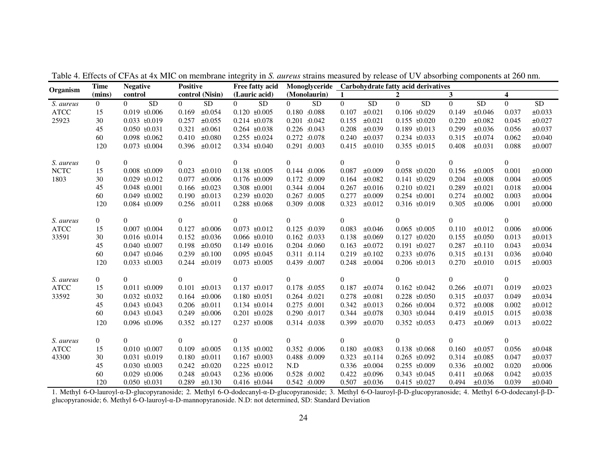|             | <b>Time</b>    | <b>Negative</b>             | <b>Positive</b>              | Free fatty acid              | Monoglyceride                | $1.010 \text{ m/s}$ or $\sigma$ , assessment $\sigma$<br>Carbohydrate fatty acid derivatives |                             |                              |                              |
|-------------|----------------|-----------------------------|------------------------------|------------------------------|------------------------------|----------------------------------------------------------------------------------------------|-----------------------------|------------------------------|------------------------------|
| Organism    | (mins)         | control                     | control (Nisin)              | (Lauric acid)                | (Monolaurin)                 | $\mathbf{1}$                                                                                 | $\boldsymbol{2}$            | $\mathbf{3}$                 | $\overline{\mathbf{4}}$      |
| S. aureus   | $\overline{0}$ | $\overline{0}$<br><b>SD</b> | ${\rm SD}$<br>$\overline{0}$ | $\overline{0}$<br>${\rm SD}$ | $\overline{0}$<br>${\rm SD}$ | <b>SD</b><br>$\overline{0}$                                                                  | $\overline{0}$<br><b>SD</b> | $\overline{0}$<br>${\rm SD}$ | $\overline{0}$<br>${\rm SD}$ |
| <b>ATCC</b> | 15             | $0.019$ $E0.006$            | 0.169<br>±0.054              | $0.120 + 0.005$              | 0.180 0.088                  | $\pm 0.021$<br>0.107                                                                         | $0.106 \pm 0.029$           | 0.149<br>±0.046              | ±0.033<br>0.037              |
| 25923       | 30             | $0.033 + 0.019$             | 0.257<br>±0.055              | $0.214 \pm 0.078$            | 0.201 0.042                  | 0.155<br>$\pm 0.021$                                                                         | $0.155$ $E0.020$            | 0.220<br>±0.082              | 0.045<br>$\pm 0.027$         |
|             | 45             | $0.050$ $E0.031$            | 0.321<br>$\pm 0.061$         | $0.264 \pm 0.038$            | 0.226 0.043                  | 0.208<br>$\pm 0.039$                                                                         | $0.189$ $E0.013$            | 0.299<br>±0.036              | $\pm 0.037$<br>0.056         |
|             | 60             | $0.098$ $E0.062$            | 0.410<br>$\pm 0.080$         | $0.255 \pm 0.024$            | 0.272 0.078                  | 0.240<br>$\pm 0.037$                                                                         | $0.234 \pm 0.033$           | 0.315<br>±0.074              | 0.062<br>$\pm 0.040$         |
|             | 120            | $0.073$ $E0.004$            | 0.396<br>$\pm 0.012$         | $0.334 \pm 0.040$            | 0.291 0.003                  | 0.415<br>$\pm 0.010$                                                                         | 0.355 $\pm 0.015$           | 0.408<br>$\pm 0.031$         | 0.088<br>$\pm 0.007$         |
| S. aureus   | $\overline{0}$ | $\overline{0}$              | $\theta$                     | $\overline{0}$               | $\overline{0}$               | $\overline{0}$                                                                               | $\overline{0}$              | $\overline{0}$               | $\overline{0}$               |
| <b>NCTC</b> | 15             | $0.008 \pm 0.009$           | 0.023<br>$\pm 0.010$         | $0.138 \pm 0.005$            | 0.144 0.006                  | 0.087<br>±0.009                                                                              | $0.058$ $E0.020$            | 0.156<br>±0.005              | 0.001<br>$\pm 0.000$         |
| 1803        | 30             | $0.029$ $E(0.012)$          | 0.077<br>$\pm 0.006$         | $0.176 \pm 0.009$            | 0.172 0.009                  | ±0.082<br>0.164                                                                              | $0.141 \pm 0.029$           | 0.204<br>$\pm 0.008$         | 0.004<br>±0.005              |
|             | 45             | $0.048 \pm 0.001$           | ±0.023<br>0.166              | $0.308 \pm 0.001$            | 0.344 0.004                  | 0.267<br>$\pm 0.016$                                                                         | $0.210 \pm 0.021$           | 0.289<br>$\pm 0.021$         | 0.018<br>$\pm 0.004$         |
|             | 60             | $0.049 + 0.002$             | 0.190<br>$\pm 0.013$         | $0.239 + 0.020$              | 0.267 0.005                  | 0.277<br>±0.009                                                                              | $0.254 \pm 0.001$           | 0.274<br>$\pm 0.002$         | 0.003<br>$\pm 0.004$         |
|             | 120            | $0.084 \pm 0.009$           | 0.256<br>$\pm 0.011$         | $0.288 \pm 0.068$            | 0.309 0.008                  | 0.323<br>±0.012                                                                              | $0.316$ $E0.019$            | 0.305<br>$\pm 0.006$         | 0.001<br>$\pm 0.000$         |
| S. aureus   | $\overline{0}$ | $\Omega$                    | $\Omega$                     | $\overline{0}$               | $\Omega$                     | $\theta$                                                                                     | $\Omega$                    | $\Omega$                     | $\overline{0}$               |
| <b>ATCC</b> | 15             | $0.007 \pm 0.004$           | 0.127<br>$\pm 0.006$         | $0.073 \pm 0.012$            | 0.125 0.039                  | 0.083<br>$\pm 0.046$                                                                         | $0.065 \pm 0.005$           | 0.110<br>$\pm 0.012$         | 0.006<br>±0.006              |
| 33591       | 30             | $0.016 \pm 0.014$           | 0.152<br>±0.036              | $0.066 \pm 0.010$            | 0.162 0.033                  | 0.138<br>$\pm 0.069$                                                                         | $0.127 \pm 0.020$           | $\pm 0.050$<br>0.155         | ±0.013<br>0.013              |
|             | 45             | $0.040 \pm 0.007$           | 0.198<br>±0.050              | $0.149 \pm 0.016$            | 0.204 0.060                  | 0.163<br>$\pm 0.072$                                                                         | $0.191 \pm 0.027$           | 0.287<br>±0.110              | 0.043<br>±0.034              |
|             | 60             | $0.047 \pm 0.046$           | 0.239<br>$\pm 0.100$         | $0.095 \pm 0.045$            | 0.311 0.114                  | 0.219<br>$\pm 0.102$                                                                         | $0.233 \pm 0.076$           | 0.315<br>$\pm 0.131$         | 0.036<br>$\pm 0.040$         |
|             | 120            | $0.033 \pm 0.003$           | 0.244<br>$\pm 0.019$         | $0.073 \pm 0.005$            | 0.439 0.007                  | $\pm 0.004$<br>0.248                                                                         | $0.206$ $E0.013$            | 0.270<br>$\pm 0.010$         | 0.015<br>$\pm 0.003$         |
| S. aureus   | $\overline{0}$ | $\overline{0}$              | $\overline{0}$               | 0                            | $\overline{0}$               | $\overline{0}$                                                                               | $\overline{0}$              | $\overline{0}$               | $\overline{0}$               |
| <b>ATCC</b> | 15             | $0.011 \pm 0.009$           | $\pm 0.013$<br>0.101         | $0.137 \pm 0.017$            | 0.178 0.055                  | 0.187<br>$\pm 0.074$                                                                         | $0.162 \pm 0.042$           | 0.266<br>$\pm 0.071$         | 0.019<br>$\pm 0.023$         |
| 33592       | 30             | $0.032 \pm 0.032$           | 0.164<br>$\pm 0.006$         | $0.180 \pm 0.051$            | 0.264 :0.021                 | 0.278<br>$\pm 0.081$                                                                         | $0.228 \pm 0.050$           | 0.315<br>$\pm 0.037$         | 0.049<br>±0.034              |
|             | 45             | $0.043 \pm 0.043$           | $\pm 0.011$<br>0.206         | $0.134 \pm 0.014$            | 0.275 0.001                  | 0.342<br>$\pm 0.013$                                                                         | $0.266$ $E0.004$            | 0.372<br>$\pm 0.008$         | 0.002<br>$\pm 0.012$         |
|             | 60             | $0.043 \pm 0.043$           | 0.249<br>$\pm 0.006$         | $0.201 \pm 0.028$            | 0.290 0.017                  | $\pm 0.078$<br>0.344                                                                         | $0.303 \pm 0.044$           | 0.419<br>$\pm 0.015$         | 0.015<br>±0.038              |
|             | 120            | $0.096$ $E0.096$            | 0.352<br>±0.127              | $0.237 + 0.008$              | 0.314 0.038                  | 0.399<br>±0.070                                                                              | 0.352 $\pm 0.053$           | 0.473<br>$\pm 0.069$         | $\pm 0.022$<br>0.013         |
| S. aureus   | $\overline{0}$ | $\overline{0}$              | $\overline{0}$               | $\overline{0}$               | $\overline{0}$               | $\overline{0}$                                                                               | $\Omega$                    | $\overline{0}$               | $\overline{0}$               |
| <b>ATCC</b> | 15             | $0.010 \pm 0.007$           | 0.109<br>±0.005              | $0.135 \pm 0.002$            | 0.352 0.006                  | 0.180<br>$\pm 0.083$                                                                         | $0.138 \pm 0.068$           | 0.160<br>$\pm 0.057$         | $\pm 0.048$<br>0.056         |
| 43300       | 30             | $0.031 \pm 0.019$           | 0.180<br>$\pm 0.011$         | $0.167 \pm 0.003$            | 0.488 0.009                  | 0.323<br>±0.114                                                                              | $0.265 \pm 0.092$           | 0.314<br>$\pm 0.085$         | 0.047<br>$\pm 0.037$         |
|             | 45             | $0.030 \pm 0.003$           | 0.242<br>$\pm 0.020$         | $0.225 \pm 0.012$            | N.D                          | 0.336<br>$\pm 0.004$                                                                         | $0.255 \pm 0.009$           | 0.336<br>$\pm 0.002$         | 0.020<br>$\pm 0.006$         |
|             | 60             | $0.029 \pm 0.006$           | 0.248<br>$\pm 0.043$         | $0.236 \pm 0.006$            | 0.528 0.002                  | 0.422<br>±0.096                                                                              | $0.343 \pm 0.045$           | 0.411<br>±0.068              | ±0.035<br>0.042              |
|             | 120            | $0.050 \pm 0.031$           | $0.289$ $\pm 0.130$          | $0.416 \pm 0.044$            | 0.542 0.009                  | 0.507<br>$\pm 0.036$                                                                         | $0.415 \pm 0.027$           | $\pm 0.036$<br>0.494         | 0.039<br>$\pm 0.040$         |

Table 4. Effects of CFAs at 4x MIC on membrane integrity in *S. aureus* strains measured by release of UV absorbing components at 260 nm.

 1. Methyl 6-O-lauroyl-α-D-glucopyranoside; 2. Methyl 6-O-dodecanyl-α-D-glucopyranoside; 3. Methyl 6-O-lauroyl-β-D-glucopyranoside; 4. Methyl 6-O-dodecanyl-β-Dglucopyranoside; 6. Methyl 6-O-lauroyl-α-D-mannopyranoside. N.D: not determined, SD: Standard Deviation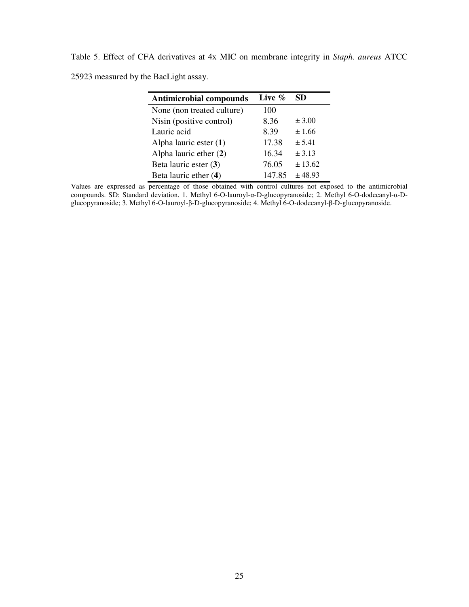Table 5. Effect of CFA derivatives at 4x MIC on membrane integrity in *Staph. aureus* ATCC 25923 measured by the BacLight assay.

| <b>Antimicrobial compounds</b> | Live $\%$ | SD.        |  |
|--------------------------------|-----------|------------|--|
| None (non treated culture)     | 100       |            |  |
| Nisin (positive control)       | 8.36      | $\pm 3.00$ |  |
| Lauric acid                    | 8.39      | ± 1.66     |  |
| Alpha lauric ester $(1)$       | 17.38     | ± 5.41     |  |
| Alpha lauric ether $(2)$       | 16.34     | ± 3.13     |  |
| Beta lauric ester (3)          | 76.05     | ± 13.62    |  |
| Beta lauric ether (4)          | 147.85    | ± 48.93    |  |

Values are expressed as percentage of those obtained with control cultures not exposed to the antimicrobial compounds. SD: Standard deviation. 1. Methyl 6-O-lauroyl-α-D-glucopyranoside; 2. Methyl 6-O-dodecanyl-α-Dglucopyranoside; 3. Methyl 6-O-lauroyl-β-D-glucopyranoside; 4. Methyl 6-O-dodecanyl-β-D-glucopyranoside.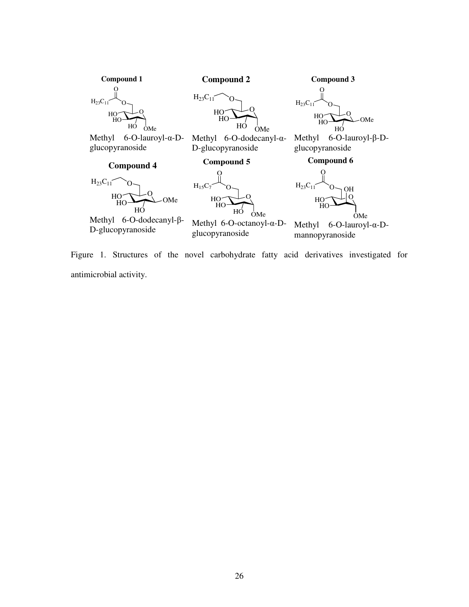

Figure 1. Structures of the novel carbohydrate fatty acid derivatives investigated for antimicrobial activity.